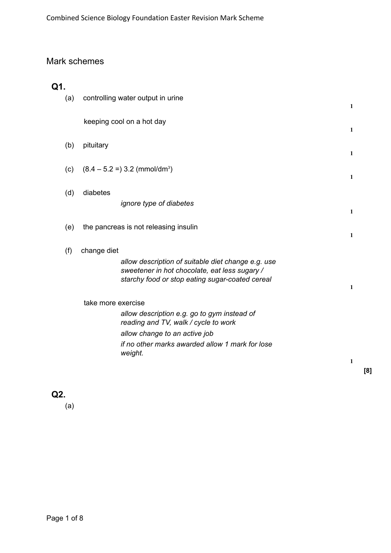## Mark schemes

| Q1. |     |                                                                                                                                                        |              |
|-----|-----|--------------------------------------------------------------------------------------------------------------------------------------------------------|--------------|
|     | (a) | controlling water output in urine                                                                                                                      | $\mathbf{1}$ |
|     |     | keeping cool on a hot day                                                                                                                              | $\mathbf{1}$ |
|     | (b) | pituitary                                                                                                                                              | $\mathbf{1}$ |
|     | (c) | $(8.4 - 5.2 =) 3.2$ (mmol/dm <sup>3</sup> )                                                                                                            | $\mathbf{1}$ |
|     | (d) | diabetes                                                                                                                                               |              |
|     |     | <i>ignore type of diabetes</i>                                                                                                                         | $\mathbf{1}$ |
|     | (e) | the pancreas is not releasing insulin                                                                                                                  | 1            |
|     | (f) | change diet                                                                                                                                            |              |
|     |     | allow description of suitable diet change e.g. use<br>sweetener in hot chocolate, eat less sugary /<br>starchy food or stop eating sugar-coated cereal |              |
|     |     |                                                                                                                                                        | 1            |
|     |     | take more exercise                                                                                                                                     |              |
|     |     | allow description e.g. go to gym instead of<br>reading and TV, walk / cycle to work                                                                    |              |
|     |     | allow change to an active job                                                                                                                          |              |
|     |     | if no other marks awarded allow 1 mark for lose<br>weight.                                                                                             |              |
|     |     |                                                                                                                                                        | 1            |

**[8]**

**Q2.**

(a)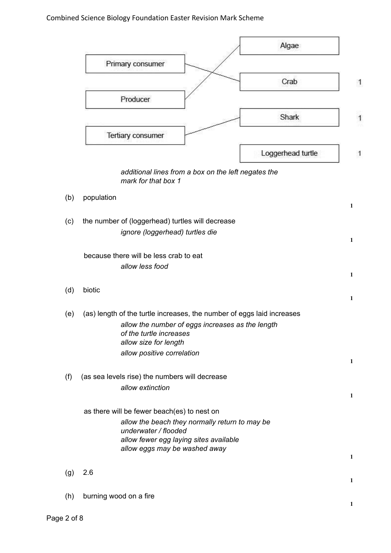## Combined Science Biology Foundation Easter Revision Mark Scheme

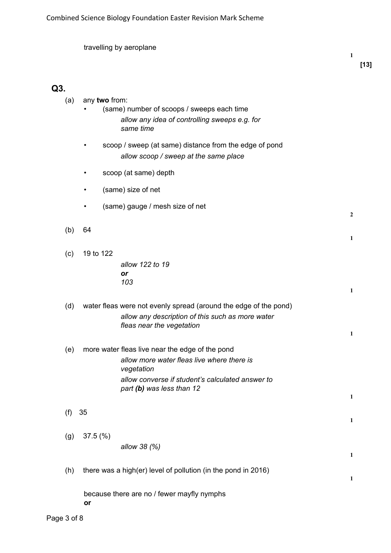|     | travelling by aeroplane                                                                                                                                                                      | 1                 |
|-----|----------------------------------------------------------------------------------------------------------------------------------------------------------------------------------------------|-------------------|
| Q3. |                                                                                                                                                                                              |                   |
| (a) | any two from:<br>(same) number of scoops / sweeps each time<br>allow any idea of controlling sweeps e.g. for<br>same time                                                                    |                   |
|     | scoop / sweep (at same) distance from the edge of pond<br>allow scoop / sweep at the same place                                                                                              |                   |
|     | scoop (at same) depth                                                                                                                                                                        |                   |
|     | (same) size of net                                                                                                                                                                           |                   |
|     | (same) gauge / mesh size of net                                                                                                                                                              | $\overline{2}$    |
| (b) | 64                                                                                                                                                                                           | $\mathbf{1}$      |
| (c) | 19 to 122<br>allow 122 to 19                                                                                                                                                                 |                   |
|     | or<br>103                                                                                                                                                                                    | $\mathbf{1}$      |
| (d) | water fleas were not evenly spread (around the edge of the pond)<br>allow any description of this such as more water<br>fleas near the vegetation                                            | 1                 |
| (e) | more water fleas live near the edge of the pond<br>allow more water fleas live where there is<br>vegetation<br>allow converse if student's calculated answer to<br>part (b) was less than 12 | 1                 |
| (f) | 35                                                                                                                                                                                           |                   |
| (g) | 37.5(%)<br>allow 38 (%)                                                                                                                                                                      | 1<br>$\mathbf{1}$ |
| (h) | there was a high(er) level of pollution (in the pond in 2016)                                                                                                                                | $\mathbf{1}$      |
|     | because there are no / fewer mayfly nymphs<br>or                                                                                                                                             |                   |

**[13]**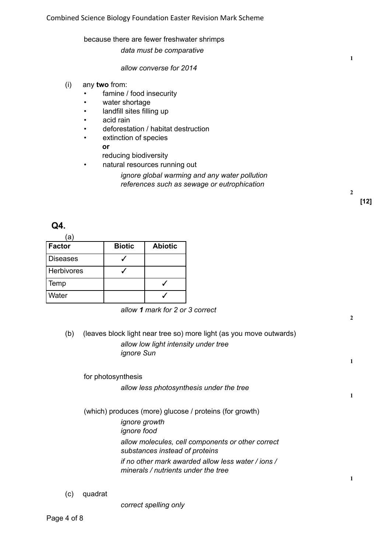#### because there are fewer freshwater shrimps

*data must be comparative*

#### *allow converse for 2014*

- (i) any **two** from:
	- famine / food insecurity
	- water shortage
	- landfill sites filling up
	- acid rain
	- deforestation / habitat destruction
	- extinction of species **or**

reducing biodiversity

- natural resources running out
	- *ignore global warming and any water pollution references such as sewage or eutrophication*

**[12]**

**2**

**2**

**1**

**1**

**1**

**1**

**Q4.**

| ā          |               |                |
|------------|---------------|----------------|
| Factor     | <b>Biotic</b> | <b>Abiotic</b> |
| Diseases   |               |                |
| Herbivores |               |                |
| Temp       |               |                |
| l Water    |               |                |

*allow 1 mark for 2 or 3 correct*

(b) (leaves block light near tree so) more light (as you move outwards) *allow low light intensity under tree ignore Sun*

# for photosynthesis *allow less photosynthesis under the tree* (which) produces (more) glucose / proteins (for growth) *ignore growth ignore food allow molecules, cell components or other correct substances instead of proteins if no other mark awarded allow less water / ions / minerals / nutrients under the tree*

(c) quadrat

*correct spelling only*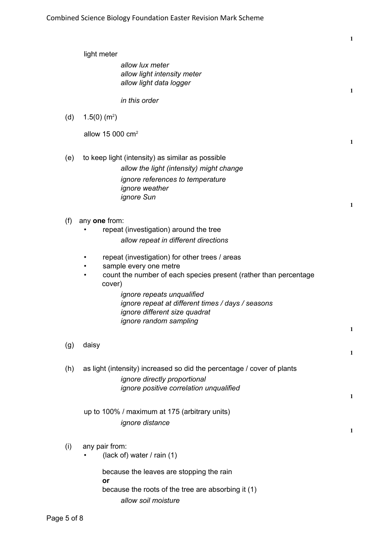|     |                                                                                                                                                                                                                                                                                                      | 1            |
|-----|------------------------------------------------------------------------------------------------------------------------------------------------------------------------------------------------------------------------------------------------------------------------------------------------------|--------------|
|     | light meter                                                                                                                                                                                                                                                                                          |              |
|     | allow lux meter<br>allow light intensity meter<br>allow light data logger                                                                                                                                                                                                                            | 1            |
|     | in this order                                                                                                                                                                                                                                                                                        |              |
| (d) | $1.5(0)$ (m <sup>2</sup> )                                                                                                                                                                                                                                                                           |              |
|     | allow 15 000 $cm2$                                                                                                                                                                                                                                                                                   | 1            |
| (e) | to keep light (intensity) as similar as possible<br>allow the light (intensity) might change<br>ignore references to temperature<br>ignore weather<br><i>ignore</i> Sun                                                                                                                              | 1            |
| (f) | any one from:<br>repeat (investigation) around the tree<br>allow repeat in different directions                                                                                                                                                                                                      |              |
|     | repeat (investigation) for other trees / areas<br>sample every one metre<br>count the number of each species present (rather than percentage<br>cover)<br>ignore repeats unqualified<br>ignore repeat at different times / days / seasons<br>ignore different size quadrat<br>ignore random sampling | 1            |
| (g) | daisy                                                                                                                                                                                                                                                                                                | $\mathbf{1}$ |
| (h) | as light (intensity) increased so did the percentage / cover of plants<br>ignore directly proportional<br>ignore positive correlation unqualified                                                                                                                                                    | 1            |
|     | up to 100% / maximum at 175 (arbitrary units)<br>ignore distance                                                                                                                                                                                                                                     | 1            |
| (i) | any pair from:<br>(lack of) water / rain (1)                                                                                                                                                                                                                                                         |              |
|     | because the leaves are stopping the rain<br>or<br>because the roots of the tree are absorbing it (1)<br>allow soil moisture                                                                                                                                                                          |              |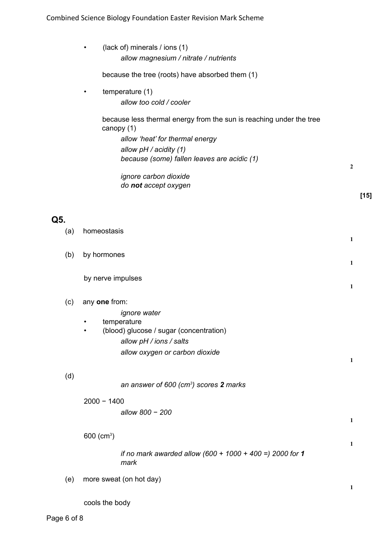|     | (lack of) minerals / ions (1)<br>$\bullet$<br>allow magnesium / nitrate / nutrients                                                              |                |
|-----|--------------------------------------------------------------------------------------------------------------------------------------------------|----------------|
|     | because the tree (roots) have absorbed them (1)                                                                                                  |                |
|     | temperature (1)<br>$\bullet$<br>allow too cold / cooler                                                                                          |                |
|     | because less thermal energy from the sun is reaching under the tree<br>canopy (1)                                                                |                |
|     | allow 'heat' for thermal energy<br>allow pH / acidity (1)<br>because (some) fallen leaves are acidic (1)                                         |                |
|     | ignore carbon dioxide<br>do not accept oxygen                                                                                                    | $\overline{2}$ |
|     |                                                                                                                                                  | $[15]$         |
| Q5. |                                                                                                                                                  |                |
| (a) | homeostasis                                                                                                                                      | 1              |
| (b) | by hormones                                                                                                                                      | 1              |
|     | by nerve impulses                                                                                                                                | $\mathbf{1}$   |
| (c) | any one from:                                                                                                                                    |                |
|     | ignore water<br>temperature<br>(blood) glucose / sugar (concentration)<br>$\bullet$<br>allow pH / ions / salts<br>allow oxygen or carbon dioxide | 1              |
| (d) | an answer of 600 $(cm^3)$ scores 2 marks                                                                                                         |                |
|     | $2000 - 1400$<br>allow 800 - 200                                                                                                                 | $\mathbf{1}$   |
|     | 600 $(cm^3)$                                                                                                                                     | $\mathbf{1}$   |
|     | if no mark awarded allow $(600 + 1000 + 400) = 2000$ for 1<br>mark                                                                               |                |
| (e) | more sweat (on hot day)                                                                                                                          | 1              |
|     | cools the body                                                                                                                                   |                |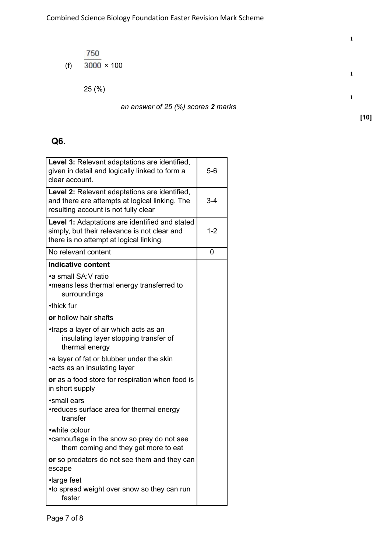(f) 
$$
\frac{750}{3000} \times 100
$$

**1**

**[10]**

an answer of 
$$
25\%
$$
 scores **2** marks

# **Q6.**

| Level 3: Relevant adaptations are identified,<br>given in detail and logically linked to form a<br>clear account.                         | $5-6$   |
|-------------------------------------------------------------------------------------------------------------------------------------------|---------|
| Level 2: Relevant adaptations are identified,<br>and there are attempts at logical linking. The<br>resulting account is not fully clear   | $3 - 4$ |
| Level 1: Adaptations are identified and stated<br>simply, but their relevance is not clear and<br>there is no attempt at logical linking. | $1 - 2$ |
| No relevant content                                                                                                                       | 0       |
| <b>Indicative content</b>                                                                                                                 |         |
| •a small SA: V ratio<br>•means less thermal energy transferred to<br>surroundings                                                         |         |
| •thick fur                                                                                                                                |         |
| or hollow hair shafts                                                                                                                     |         |
| •traps a layer of air which acts as an<br>insulating layer stopping transfer of<br>thermal energy                                         |         |
| •a layer of fat or blubber under the skin<br>•acts as an insulating layer                                                                 |         |
| or as a food store for respiration when food is<br>in short supply                                                                        |         |
| •small ears<br>•reduces surface area for thermal energy<br>transfer                                                                       |         |
| •white colour<br>•camouflage in the snow so prey do not see<br>them coming and they get more to eat                                       |         |
| or so predators do not see them and they can<br>escape                                                                                    |         |
| ·large feet<br>•to spread weight over snow so they can run<br>faster                                                                      |         |